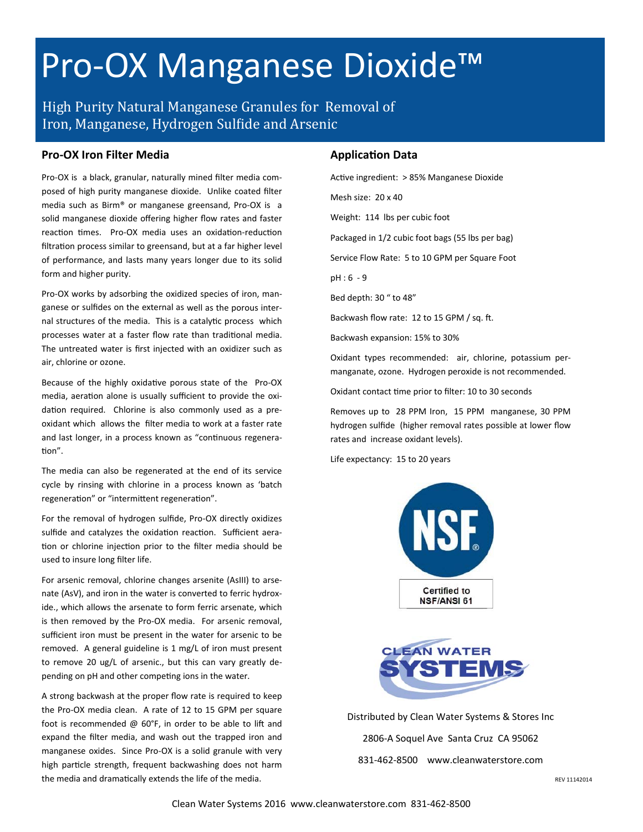# Pro-OX Manganese Dioxide™

High Purity Natural Manganese Granules for Removal of Iron, Manganese, Hydrogen Sulfide and Arsenic

### **Pro‐OX Iron Filter Media**

Pro‐OX is a black, granular, naturally mined filter media com‐ posed of high purity manganese dioxide. Unlike coated filter media such as Birm® or manganese greensand, Pro‐OX is a solid manganese dioxide offering higher flow rates and faster reaction times. Pro-OX media uses an oxidation-reduction filtration process similar to greensand, but at a far higher level of performance, and lasts many years longer due to its solid form and higher purity.

Pro-OX works by adsorbing the oxidized species of iron, manganese or sulfides on the external as well as the porous inter‐ nal structures of the media. This is a catalytic process which processes water at a faster flow rate than traditional media. The untreated water is first injected with an oxidizer such as air, chlorine or ozone.

Because of the highly oxidative porous state of the Pro-OX media, aeration alone is usually sufficient to provide the oxidation required. Chlorine is also commonly used as a preoxidant which allows the filter media to work at a faster rate and last longer, in a process known as "continuous regeneration".

The media can also be regenerated at the end of its service cycle by rinsing with chlorine in a process known as 'batch regeneration" or "intermittent regeneration".

For the removal of hydrogen sulfide, Pro‐OX directly oxidizes sulfide and catalyzes the oxidation reaction. Sufficient aeration or chlorine injection prior to the filter media should be used to insure long filter life.

For arsenic removal, chlorine changes arsenite (AsIII) to arse‐ nate (AsV), and iron in the water is converted to ferric hydroxide., which allows the arsenate to form ferric arsenate, which is then removed by the Pro-OX media. For arsenic removal, sufficient iron must be present in the water for arsenic to be removed. A general guideline is 1 mg/L of iron must present to remove 20 ug/L of arsenic., but this can vary greatly de‐ pending on pH and other competing ions in the water.

A strong backwash at the proper flow rate is required to keep the Pro‐OX media clean. A rate of 12 to 15 GPM per square foot is recommended  $@$  60°F, in order to be able to lift and expand the filter media, and wash out the trapped iron and manganese oxides. Since Pro‐OX is a solid granule with very high particle strength, frequent backwashing does not harm the media and dramatically extends the life of the media.

### **ApplicaƟon Data**

Active ingredient: > 85% Manganese Dioxide Mesh size: 20 x 40 Weight: 114 lbs per cubic foot Packaged in 1/2 cubic foot bags (55 lbs per bag) Service Flow Rate: 5 to 10 GPM per Square Foot pH : 6 ‐ 9 Bed depth: 30 " to 48" Backwash flow rate: 12 to 15 GPM / sq. ft. Backwash expansion: 15% to 30% Oxidant types recommended: air, chlorine, potassium per‐ manganate, ozone. Hydrogen peroxide is not recommended.

Oxidant contact time prior to filter: 10 to 30 seconds

Removes up to 28 PPM Iron, 15 PPM manganese, 30 PPM hydrogen sulfide (higher removal rates possible at lower flow rates and increase oxidant levels).

Life expectancy: 15 to 20 years





Distributed by Clean Water Systems & Stores Inc 2806‐A Soquel Ave Santa Cruz CA 95062 831‐462‐8500 www.cleanwaterstore.com

REV 11142014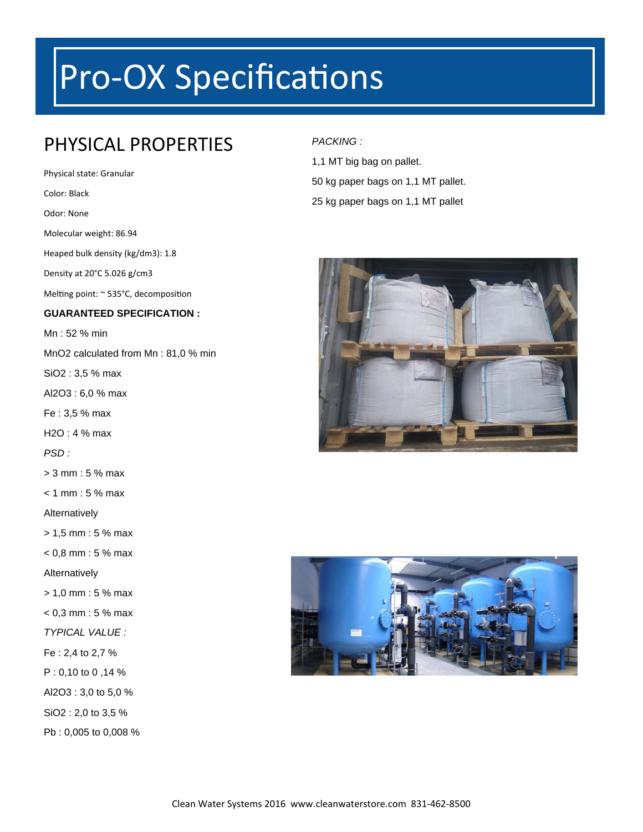# Pro-OX Specifications

## PHYSICAL PROPERTIES

Physical state: Granular Color: Black Odor: None Molecular weight: 86.94 Heaped bulk density (kg/dm3): 1.8 Density at 20°C 5.026 g/cm3 Melting point: ~ 535°C, decomposition **GUARANTEED SPECIFICATION :**  Mn : 52 % min MnO2 calculated from Mn : 81,0 % min SiO2 : 3,5 % max Al2O3 : 6,0 % max Fe : 3,5 % max H2O : 4 % max *PSD :*  > 3 mm : 5 % max  $< 1$  mm : 5 % max Alternatively > 1,5 mm : 5 % max  $< 0.8$  mm : 5 % max Alternatively > 1,0 mm : 5 % max  $< 0.3$  mm : 5 % max *TYPICAL VALUE :*  Fe : 2,4 to 2,7 % P : 0,10 to 0 ,14 % Al2O3 : 3,0 to 5,0 % SiO2 : 2,0 to 3,5 % Pb : 0,005 to 0,008 %

### *PACKING :*

1,1 MT big bag on pallet. 50 kg paper bags on 1,1 MT pallet. 25 kg paper bags on 1,1 MT pallet



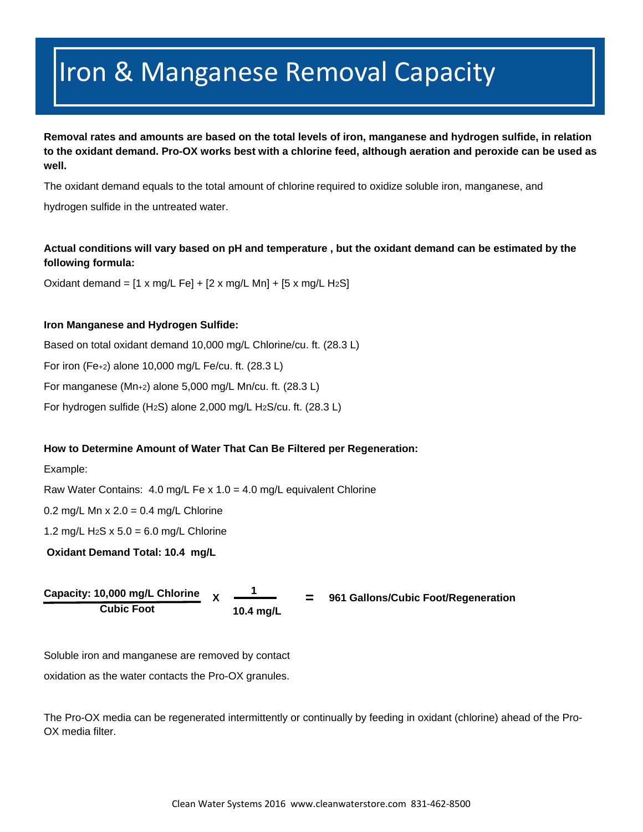## Iron & Manganese Removal Capacity

**Removal rates and amounts are based on the total levels of iron, manganese and hydrogen sulfide, in relation to the oxidant demand. Pro-OX works best with a chlorine feed, although aeration and peroxide can be used as well.** 

The oxidant demand equals to the total amount of chlorine required to oxidize soluble iron, manganese, and

hydrogen sulfide in the untreated water.

### **Actual conditions will vary based on pH and temperature , but the oxidant demand can be estimated by the following formula:**

Oxidant demand =  $[1 \times mg/L \text{ Fe}] + [2 \times mg/L \text{ Mn}] + [5 \times mg/L \text{ H}_2\text{S}]$ 

### **Iron Manganese and Hydrogen Sulfide:**

Based on total oxidant demand 10,000 mg/L Chlorine/cu. ft. (28.3 L) For iron (Fe+2) alone 10,000 mg/L Fe/cu. ft. (28.3 L) For manganese (Mn+2) alone 5,000 mg/L Mn/cu. ft. (28.3 L) For hydrogen sulfide (H2S) alone 2,000 mg/L H2S/cu. ft. (28.3 L)

### **How to Determine Amount of Water That Can Be Filtered per Regeneration:**

Example:

Raw Water Contains: 4.0 mg/L Fe x  $1.0 = 4.0$  mg/L equivalent Chlorine

0.2 mg/L Mn  $x$  2.0 = 0.4 mg/L Chlorine

1.2 mg/L H<sub>2</sub>S x  $5.0 = 6.0$  mg/L Chlorine

 **Oxidant Demand Total: 10.4 mg/L** 

**Capacity: 10,000 mg/L Chlorine Cubic Foot X 10.4 mg/L 1**



Soluble iron and manganese are removed by contact

oxidation as the water contacts the Pro-OX granules.

The Pro-OX media can be regenerated intermittently or continually by feeding in oxidant (chlorine) ahead of the Pro-OX media filter.